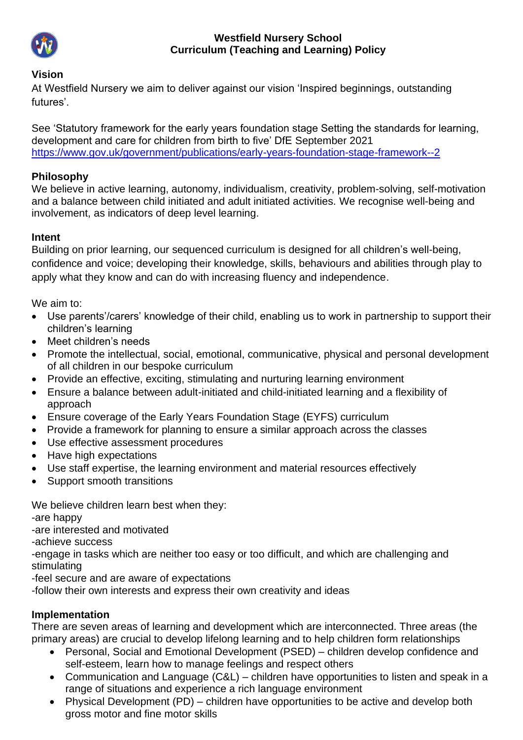

### **Westfield Nursery School Curriculum (Teaching and Learning) Policy**

#### **Vision**

At Westfield Nursery we aim to deliver against our vision 'Inspired beginnings, outstanding futures'.

See 'Statutory framework for the early years foundation stage Setting the standards for learning, development and care for children from birth to five' DfE September 2021 <https://www.gov.uk/government/publications/early-years-foundation-stage-framework--2>

#### **Philosophy**

We believe in active learning, autonomy, individualism, creativity, problem-solving, self-motivation and a balance between child initiated and adult initiated activities. We recognise well-being and involvement, as indicators of deep level learning.

#### **Intent**

Building on prior learning, our sequenced curriculum is designed for all children's well-being, confidence and voice; developing their knowledge, skills, behaviours and abilities through play to apply what they know and can do with increasing fluency and independence.

We aim to:

- Use parents'/carers' knowledge of their child, enabling us to work in partnership to support their children's learning
- Meet children's needs
- Promote the intellectual, social, emotional, communicative, physical and personal development of all children in our bespoke curriculum
- Provide an effective, exciting, stimulating and nurturing learning environment
- Ensure a balance between adult-initiated and child-initiated learning and a flexibility of approach
- Ensure coverage of the Early Years Foundation Stage (EYFS) curriculum
- Provide a framework for planning to ensure a similar approach across the classes
- Use effective assessment procedures
- Have high expectations
- Use staff expertise, the learning environment and material resources effectively
- Support smooth transitions

We believe children learn best when they:

-are happy

-are interested and motivated

-achieve success

-engage in tasks which are neither too easy or too difficult, and which are challenging and stimulating

-feel secure and are aware of expectations

-follow their own interests and express their own creativity and ideas

## **Implementation**

There are seven areas of learning and development which are interconnected. Three areas (the primary areas) are crucial to develop lifelong learning and to help children form relationships

- Personal, Social and Emotional Development (PSED) children develop confidence and self-esteem, learn how to manage feelings and respect others
- Communication and Language (C&L) children have opportunities to listen and speak in a range of situations and experience a rich language environment
- Physical Development (PD) children have opportunities to be active and develop both gross motor and fine motor skills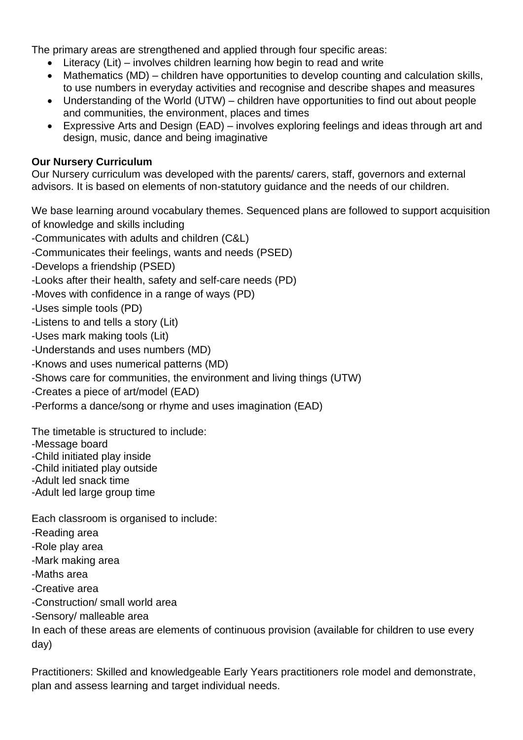The primary areas are strengthened and applied through four specific areas:

- Literacy (Lit) involves children learning how begin to read and write
- Mathematics (MD) children have opportunities to develop counting and calculation skills, to use numbers in everyday activities and recognise and describe shapes and measures
- Understanding of the World (UTW) children have opportunities to find out about people and communities, the environment, places and times
- Expressive Arts and Design (EAD) involves exploring feelings and ideas through art and design, music, dance and being imaginative

# **Our Nursery Curriculum**

Our Nursery curriculum was developed with the parents/ carers, staff, governors and external advisors. It is based on elements of non-statutory guidance and the needs of our children.

We base learning around vocabulary themes. Sequenced plans are followed to support acquisition of knowledge and skills including

-Communicates with adults and children (C&L)

-Communicates their feelings, wants and needs (PSED)

-Develops a friendship (PSED)

-Looks after their health, safety and self-care needs (PD)

-Moves with confidence in a range of ways (PD)

-Uses simple tools (PD)

- -Listens to and tells a story (Lit)
- -Uses mark making tools (Lit)

-Understands and uses numbers (MD)

-Knows and uses numerical patterns (MD)

-Shows care for communities, the environment and living things (UTW)

-Creates a piece of art/model (EAD)

-Performs a dance/song or rhyme and uses imagination (EAD)

The timetable is structured to include:

-Message board

-Child initiated play inside

-Child initiated play outside

-Adult led snack time

-Adult led large group time

Each classroom is organised to include:

-Reading area

-Role play area

-Mark making area

-Maths area

-Creative area

-Construction/ small world area

-Sensory/ malleable area

In each of these areas are elements of continuous provision (available for children to use every day)

Practitioners: Skilled and knowledgeable Early Years practitioners role model and demonstrate, plan and assess learning and target individual needs.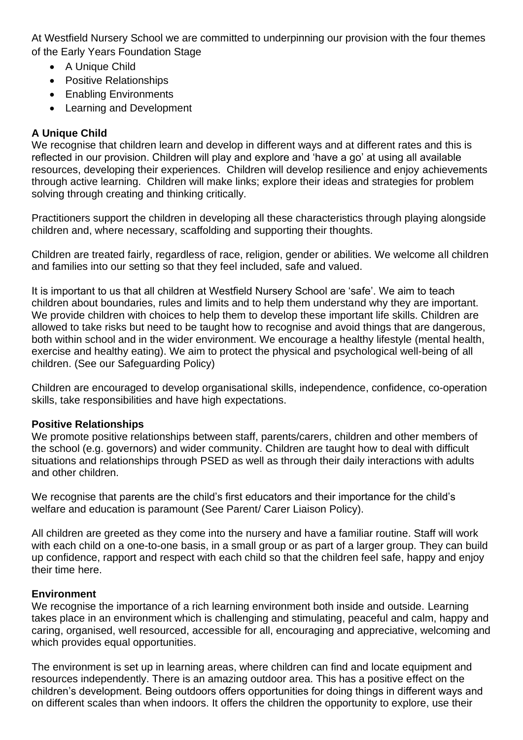At Westfield Nursery School we are committed to underpinning our provision with the four themes of the Early Years Foundation Stage

- A Unique Child
- Positive Relationships
- Enabling Environments
- Learning and Development

## **A Unique Child**

We recognise that children learn and develop in different ways and at different rates and this is reflected in our provision. Children will play and explore and 'have a go' at using all available resources, developing their experiences. Children will develop resilience and enjoy achievements through active learning. Children will make links; explore their ideas and strategies for problem solving through creating and thinking critically.

Practitioners support the children in developing all these characteristics through playing alongside children and, where necessary, scaffolding and supporting their thoughts.

Children are treated fairly, regardless of race, religion, gender or abilities. We welcome all children and families into our setting so that they feel included, safe and valued.

It is important to us that all children at Westfield Nursery School are 'safe'. We aim to teach children about boundaries, rules and limits and to help them understand why they are important. We provide children with choices to help them to develop these important life skills. Children are allowed to take risks but need to be taught how to recognise and avoid things that are dangerous, both within school and in the wider environment. We encourage a healthy lifestyle (mental health, exercise and healthy eating). We aim to protect the physical and psychological well-being of all children. (See our Safeguarding Policy)

Children are encouraged to develop organisational skills, independence, confidence, co-operation skills, take responsibilities and have high expectations.

#### **Positive Relationships**

We promote positive relationships between staff, parents/carers, children and other members of the school (e.g. governors) and wider community. Children are taught how to deal with difficult situations and relationships through PSED as well as through their daily interactions with adults and other children.

We recognise that parents are the child's first educators and their importance for the child's welfare and education is paramount (See Parent/ Carer Liaison Policy).

All children are greeted as they come into the nursery and have a familiar routine. Staff will work with each child on a one-to-one basis, in a small group or as part of a larger group. They can build up confidence, rapport and respect with each child so that the children feel safe, happy and enjoy their time here.

#### **Environment**

We recognise the importance of a rich learning environment both inside and outside. Learning takes place in an environment which is challenging and stimulating, peaceful and calm, happy and caring, organised, well resourced, accessible for all, encouraging and appreciative, welcoming and which provides equal opportunities.

The environment is set up in learning areas, where children can find and locate equipment and resources independently. There is an amazing outdoor area. This has a positive effect on the children's development. Being outdoors offers opportunities for doing things in different ways and on different scales than when indoors. It offers the children the opportunity to explore, use their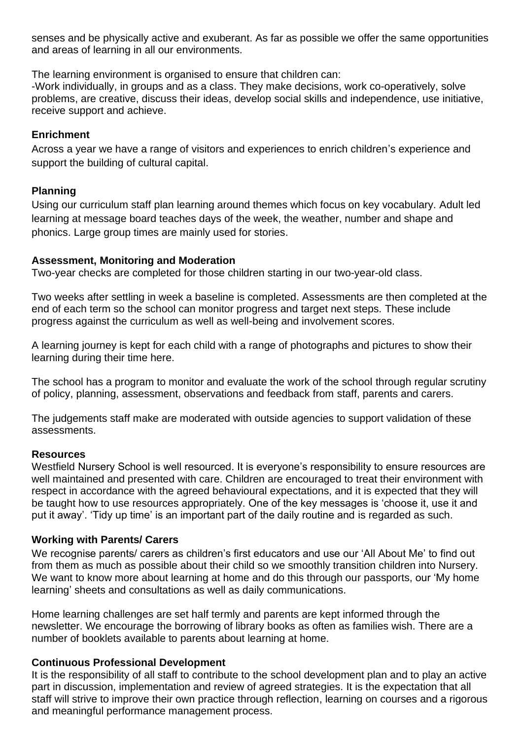senses and be physically active and exuberant. As far as possible we offer the same opportunities and areas of learning in all our environments.

The learning environment is organised to ensure that children can:

-Work individually, in groups and as a class. They make decisions, work co-operatively, solve problems, are creative, discuss their ideas, develop social skills and independence, use initiative, receive support and achieve.

## **Enrichment**

Across a year we have a range of visitors and experiences to enrich children's experience and support the building of cultural capital.

# **Planning**

Using our curriculum staff plan learning around themes which focus on key vocabulary. Adult led learning at message board teaches days of the week, the weather, number and shape and phonics. Large group times are mainly used for stories.

## **Assessment, Monitoring and Moderation**

Two-year checks are completed for those children starting in our two-year-old class.

Two weeks after settling in week a baseline is completed. Assessments are then completed at the end of each term so the school can monitor progress and target next steps. These include progress against the curriculum as well as well-being and involvement scores.

A learning journey is kept for each child with a range of photographs and pictures to show their learning during their time here.

The school has a program to monitor and evaluate the work of the school through regular scrutiny of policy, planning, assessment, observations and feedback from staff, parents and carers.

The judgements staff make are moderated with outside agencies to support validation of these assessments.

## **Resources**

Westfield Nursery School is well resourced. It is everyone's responsibility to ensure resources are well maintained and presented with care. Children are encouraged to treat their environment with respect in accordance with the agreed behavioural expectations, and it is expected that they will be taught how to use resources appropriately. One of the key messages is 'choose it, use it and put it away'. 'Tidy up time' is an important part of the daily routine and is regarded as such.

## **Working with Parents/ Carers**

We recognise parents/ carers as children's first educators and use our 'All About Me' to find out from them as much as possible about their child so we smoothly transition children into Nursery. We want to know more about learning at home and do this through our passports, our 'My home learning' sheets and consultations as well as daily communications.

Home learning challenges are set half termly and parents are kept informed through the newsletter. We encourage the borrowing of library books as often as families wish. There are a number of booklets available to parents about learning at home.

## **Continuous Professional Development**

It is the responsibility of all staff to contribute to the school development plan and to play an active part in discussion, implementation and review of agreed strategies. It is the expectation that all staff will strive to improve their own practice through reflection, learning on courses and a rigorous and meaningful performance management process.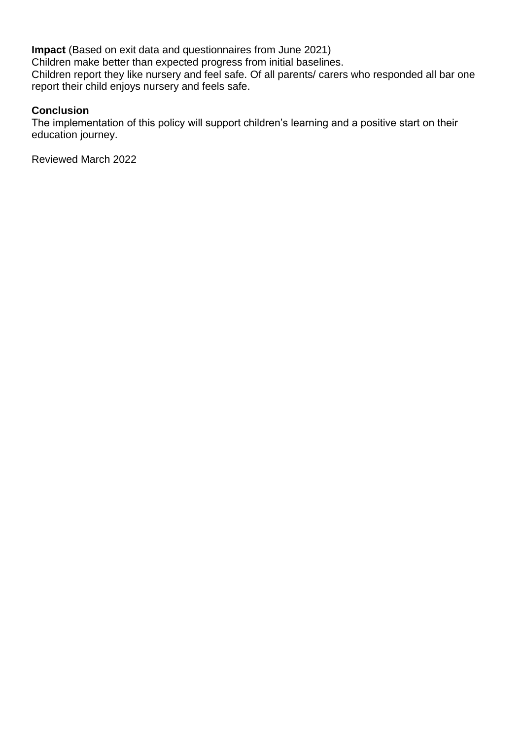**Impact** (Based on exit data and questionnaires from June 2021) Children make better than expected progress from initial baselines. Children report they like nursery and feel safe. Of all parents/ carers who responded all bar one report their child enjoys nursery and feels safe.

#### **Conclusion**

The implementation of this policy will support children's learning and a positive start on their education journey.

Reviewed March 2022